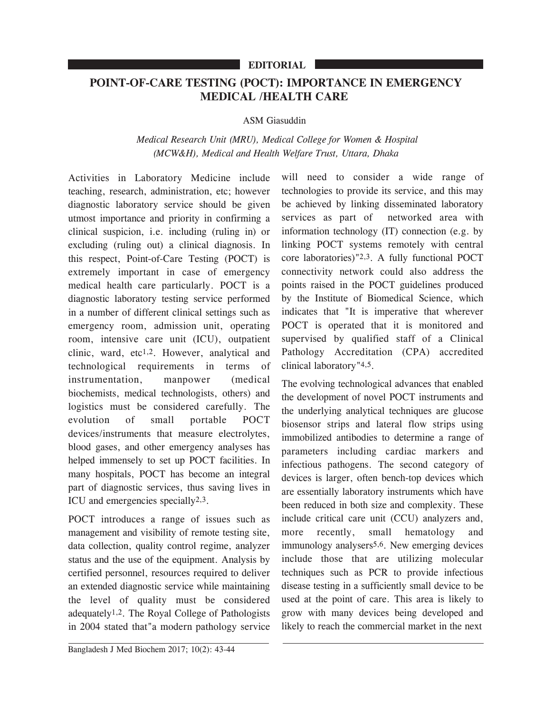### **EDITORIAL**

# **POINT-OF-CARE TESTING (POCT): IMPORTANCE IN EMERGENCY MEDICAL /HEALTH CARE**

### ASM Giasuddin

## *Medical Research Unit (MRU), Medical College for Women & Hospital (MCW&H), Medical and Health Welfare Trust, Uttara, Dhaka*

Activities in Laboratory Medicine include teaching, research, administration, etc; however diagnostic laboratory service should be given utmost importance and priority in confirming a clinical suspicion, i.e. including (ruling in) or excluding (ruling out) a clinical diagnosis. In this respect, Point-of-Care Testing (POCT) is extremely important in case of emergency medical health care particularly. POCT is a diagnostic laboratory testing service performed in a number of different clinical settings such as emergency room, admission unit, operating room, intensive care unit (ICU), outpatient clinic, ward, etc1,2. However, analytical and technological requirements in terms of instrumentation, manpower (medical biochemists, medical technologists, others) and logistics must be considered carefully. The evolution of small portable POCT devices/instruments that measure electrolytes, blood gases, and other emergency analyses has helped immensely to set up POCT facilities. In many hospitals, POCT has become an integral part of diagnostic services, thus saving lives in ICU and emergencies specially2,3.

POCT introduces a range of issues such as management and visibility of remote testing site, data collection, quality control regime, analyzer status and the use of the equipment. Analysis by certified personnel, resources required to deliver an extended diagnostic service while maintaining the level of quality must be considered adequately1,2. The Royal College of Pathologists in 2004 stated that"a modern pathology service

will need to consider a wide range of technologies to provide its service, and this may be achieved by linking disseminated laboratory services as part of networked area with information technology (IT) connection (e.g. by linking POCT systems remotely with central core laboratories)"2,3. A fully functional POCT connectivity network could also address the points raised in the POCT guidelines produced by the Institute of Biomedical Science, which indicates that "It is imperative that wherever POCT is operated that it is monitored and supervised by qualified staff of a Clinical Pathology Accreditation (CPA) accredited clinical laboratory"4,5.

The evolving technological advances that enabled the development of novel POCT instruments and the underlying analytical techniques are glucose biosensor strips and lateral flow strips using immobilized antibodies to determine a range of parameters including cardiac markers and infectious pathogens. The second category of devices is larger, often bench-top devices which are essentially laboratory instruments which have been reduced in both size and complexity. These include critical care unit (CCU) analyzers and, more recently, small hematology and immunology analysers5,6. New emerging devices include those that are utilizing molecular techniques such as PCR to provide infectious disease testing in a sufficiently small device to be used at the point of care. This area is likely to grow with many devices being developed and likely to reach the commercial market in the next